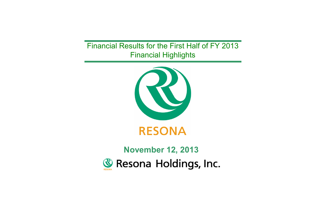Financial Results for the First Half of FY 2013 Financial Highlights



# **November 12, 2013& Resona Holdings, Inc.**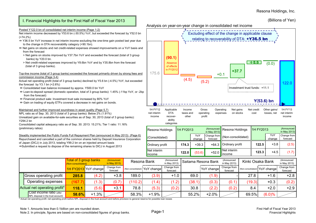(Billions of Yen)

# I. Financial Highlights for the First Half of Fiscal Year 2013

#### Posted Y122.0 bn of consolidated net interim income (Page 1-2)

Net interim income decreased by Y53.6 bn (-30.5%) YoY, but exceeded the forecast by Y52.0 bn (+74.2%)

- ⇒ Y36.5 bn YoY increase in net interim income excluding the one-time gain posted last year due to the change in DTA recoverability category (+90.1bn).
- ⇔ Net gains on stocks and net credit-related expenses showed improvements on a YoY basis and from the forecast
	- > Net gains on stocks improved by Y37.7bn YoY and exceeded the forecast (total of 3 group banks) by Y20.0 bn.
- > Net credit-related expenses improved by Y8.6bn YoY and by Y35.8bn from the forecast (total of 3 group banks).

Top-line income (total of 3 group banks) exceeded the forecast primarily driven by strong fees and commission income (Page 3-4)

Actual net operating profit (total of 3 group banks) declined by Y5.6 bn (-4.5%) YoY, but exceeded the forecast by Y3.1 bn (+2.6%)

- ⇔ Consolidated loan balance increased by approx. Y500.0 bn YoY
- ⇔ Loan-to-deposit spread (domestic operation, total of 3 group banks): 1.45% (-11bp YoY, or -2bp from the forecast)
- ⇔ Financial product sale: Investment trust sale increased by 80% YoY
- ⇔ Gain on trading of equity ETFs covered a decrease in net gains on bonds.

#### Maintained and further improved soundness in asset quality (Page 5,7)

NPL ratio as of Sep. 30, 2013 (total of 3 group banks): Below 2% (1.91%) Unrealized gain on available-for-sale securities as of Sep. 30, 2013 (total of 3 group banks): Y294.2 bn

Consolidated capital adequacy ratio as of Sep. 30. 2013: 15.21%; Tier 1 ratio: 11.16% (preliminary ratios)

Steadily implemented the Public Funds Full Repayment Plan (announced in May 2013) (Page 6) Repurchased and cancelled a part of the common shares held by Deposit Insurance Corporation of Japan (DICJ) in July 2013, totaling Y99.2 bn on an injected amount basis ⇒Submitted a request to dispose of the remaining shares to DICJ in August 2013



Net interim

|                                                                |                                              |                      |                            |         | <b>INCLUTION</b><br>lincome  |                            | 122.0  | (53.6)              | +52.0    <sub>income</sub> |        | $+4.5$<br>123.3               | (1.7)                      |
|----------------------------------------------------------------|----------------------------------------------|----------------------|----------------------------|---------|------------------------------|----------------------------|--------|---------------------|----------------------------|--------|-------------------------------|----------------------------|
|                                                                | Total of 3 group banks<br>(Non-consolidated) |                      | (Announced<br>in May 2013) |         | Resona Bank                  | (Announced<br>in May 2013) |        | Saitama Resona Bank | (Announced<br>in May 2013) |        | Kinki Osaka Bank              | (Announced<br>in May 2013) |
|                                                                |                                              | 1H FY2013 YoY change | Change from<br>forecast    |         | Non-consolidated) YoY change | Change from<br>forecast    |        | YoY change          | Change from<br>forecast    |        | (Non-consolidated) YoY change | Change from<br>forecast    |
| <b>Gross operating profit</b>                                  | 285.8                                        | (4.2)                | $+3.8$                     | 189.0   | (3.9)                        | $+1.0$                     | 69.0   | (1.9)               |                            | 27.8   | $+1.6$                        | $+2.8$                     |
| Operating expenses                                             | 167.7)                                       | (1.3)                | (0.7)                      | (110.2) | (1.4)                        | (1.2)                      | (38.1) | (0.3)               | (0.1)                      | (19.3) | $+0.3$                        | (0.2)                      |
| Actual net operating profit*                                   | 118.1                                        | (5.6)                | $+3.1$                     | 78.8    | (5.3)                        | (0.2)                      | 30.8   | (2.2)               | (0.2)                      | 8.4    | $+2.0$                        | $+2.9$                     |
| Cost income ratio (after<br>NPL disposal in the trust account) | 58.6%                                        | $+1.3%$              |                            | 58.3%   | $+1.9%$                      |                            | 55.2%  | $+2.0\%$            |                            | 69.5%  | $(6.0)\%$                     |                            |

Net interim

Ordinary profit **174.3** +39.3 +64.3

\* Actual net operating profit: net operating profit before NPL disposal in the trust account and before provision to general reserve for possible loan losses

Note 1. Amounts less than 0.1billion yen are rounded down.

Ordinary profit **122.5** +3.8 (2.5)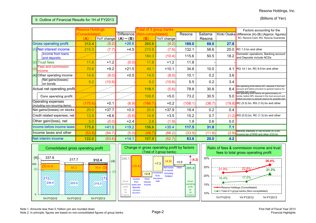(Billions of Yen)

II. Outline of Financial Results for 1H of FY2013

|     |                                                       | Resona Holdings |                        |                   |            | otal of 3 group banks |         |         |       | Factors accounting for the                                                                                                                                                                |
|-----|-------------------------------------------------------|-----------------|------------------------|-------------------|------------|-----------------------|---------|---------|-------|-------------------------------------------------------------------------------------------------------------------------------------------------------------------------------------------|
|     |                                                       | Consolidated    |                        | <b>Difference</b> | Non-consol |                       | Resona  | Saitama |       | Kinki Osaka difference (A)-(B) (Approx. figures)                                                                                                                                          |
|     |                                                       | (A)             | YoY change $(A) - (B)$ |                   | (B)        | YoY change            |         | Resona  |       | RC: Resona Card, RG: Resona Guarantee                                                                                                                                                     |
|     | <b>Gross operating profit</b>                         | 312.4           | (5.2)                  | $+26.6$           | 285.8      | (4.2)                 | 189.0   | 69.0    | 27.8  |                                                                                                                                                                                           |
|     | (1) Net interest income                               | 215.3           | (7.7)                  | $+4.5$            | 210.8      | (7.6)                 | 132.1   | 58.6    | 20.0  | RC 1.5 bn and other                                                                                                                                                                       |
|     | Income from loans<br>and deposits                     |                 |                        |                   | 184.3      | (10.4)                | 115.6   | 50.5    | 18.2  | Domestic operations, Banking account<br>and Deposits include NCDs                                                                                                                         |
|     | $(2)$ Trust fees                                      | 11.8            | $+1.2$                 | (0.0)             | 11.8       | $+1.2$                | 11.8    |         |       |                                                                                                                                                                                           |
| (3) | Fees and commission<br>income                         | 70.6            | $+9.2$                 | $+21.5$           | 49.1       | $+10.1$               | 34.8    | 10.0    | 4.1   | RG 14.1 bn, RC 6.9 bn and other                                                                                                                                                           |
|     | (4) Other operating income                            | 14.6            | (8.0)                  | $+0.5$            | 14.0       | (8.0)                 | 10.1    | 0.2     | 3.6   |                                                                                                                                                                                           |
|     | Net gains/(losses)<br>on bonds                        | 9.2             | (10.6)                 |                   | 9.2        | (10.6)                | 5.5     | 0.2     | 3.4   |                                                                                                                                                                                           |
|     | Actual net operating profit                           |                 |                        |                   | 118.1      | (5.6)                 | 78.8    | 30.8    | 8.4   | Net operating profit before NPL disposal in the trust<br>account and before provision to general reserve for<br>possible loan losses<br>Net operating profit before net gains/(losses) on |
|     | Core operating profit                                 |                 |                        |                   | 108.8      | $+5.0$                | 73.2    | 30.5    | 5.0   | bonds, before NPL disposal in the trust account and<br>before provision to general reserve for possible loan                                                                              |
|     | Operating expenses<br>(including non-recurring items) | (175.6)         | $+0.1$                 | (8.9)             | (166.7)    | $+0.2$                | (108.1) | (38.7)  |       | $(19.8)$ RC (5.5) bn, RG (1.6) bn and other                                                                                                                                               |
|     | Net gains/(losses) on stocks                          | 20.0            | $+37.7$                | $+0.0$            | 20.0       | $+37.9$               | 19.4    | 0.2     | 0.4   |                                                                                                                                                                                           |
|     | Credit related expenses, net                          | 13.9            | $+8.6$                 | (0.8)             | 14.8       | $+3.5$                | 15.2    | 0.7     |       | $(1.2)$ RG (0.5) bn, RC (1.3) bn and other                                                                                                                                                |
|     | Other gain/(loss), net                                | 5.0             | (0.0)                  | $+2.4$            | 2.6        | (1.9)                 | 1.9     | 0.6     | 0.0   |                                                                                                                                                                                           |
|     | Income before income taxes                            | 175.8           | $+41.0$                | $+19.2$           | 156.6      | $+35.4$               | 117.5   | 31.8    | 7.1   |                                                                                                                                                                                           |
|     | Income taxes and other                                | (53.8)          | (94.7)                 | (5.0)             | (48.7)     | (88.2)                | (33.9)  | (11.8)  | (2.9) | Minority interests in net income (4.3) bn,<br>Income tax of RHD and other (0.6) bn                                                                                                        |
|     | Net interim income                                    | 122.0           | (53.6)                 | $+14.1$           | 107.9      | (52.7)                | 83.6    | 20.0    | 4.2   |                                                                                                                                                                                           |





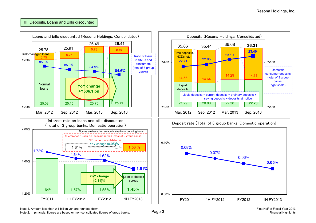## III. Deposits, Loans and Bills discounted



Note 1. Amount less than 0.1 billion yen are rounded down.

Note 2. In principle, figures are based on non-consolidated figures of group banks. Page-3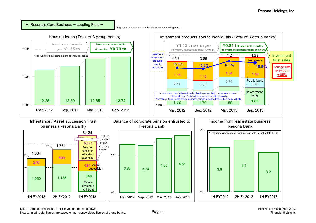IV. Resona's Core Business ~Leading Field~

\*Figures are based on an administrative accounting basis.



Note 1. Amount less than 0.1 billion yen are rounded down.

Note 2. In principle, figures are based on non-consolidated figures of group banks. **Page-4**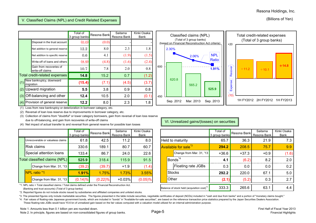### (Billions of Yen)

# V. Classified Claims (NPL) and Credit Related Expenses

|     |                                             | Total of<br>3 group banks | Resona Bankl | Saitama<br>Resona Bank | Kinki Osaka<br>Bank |
|-----|---------------------------------------------|---------------------------|--------------|------------------------|---------------------|
|     | Disposal in the trust account               | (0.0)                     | (0.0)        |                        |                     |
|     | Net addition to general reserve             | 12.2                      | 8.0          | 2.3                    | 1.8                 |
|     | Net addition to specific reserve            | 0.6                       | 4.1          | (1.9)                  | (1.5)               |
|     | Write-off of loans and others               | (8.9)                     | (4.8)        | (1.6)                  | (2.4)               |
|     | Gain from recoveries of<br>write-off claims | 10.7                      | 7.8          | 2.0                    | 0.8                 |
|     | Total credit-related expenses               | 14.8                      | 15.2         | 0.7                    | (1.2)               |
| (1) | New bankruptcy, downward<br>migration       | (15.4)                    | (7.1)        | (4.5)                  | (3.7)               |
| (2) | Upward migration                            | 5.5                       | 3.8          | 0.9                    | 0.8                 |
| (3) | Off-balancing and other                     | 12.4                      | 10.5         | 2.0                    | (0.1)               |
| (4) | Provision of general reserve                | 12.2                      | 8.0          | 2.3                    | 1.8                 |



(1) Loss from new bankruptcy or deterioration in borrower category, etc.

(2) Reversal of loan loss reserve due to improvements in borrower category, etc.

(3) Collection of claims from "doubtful" or lower category borrowers, gain from reversal of loan loss reserve due to off-balancing, and gain from recoveries of write-off claims

(4) Net impact of actual transfer to and reversal from general reserve for possible loan losses

|                         |                                   | Total of<br>3 group banks | Resona Bank | Saitama<br>Resona Bank | Kinki Osaka<br>Bank |
|-------------------------|-----------------------------------|---------------------------|-------------|------------------------|---------------------|
|                         | Unrecoverable or valueless claims | 61.8                      | 42.5        | 11.2                   | 8.0                 |
|                         | <b>Risk claims</b>                | 330.6                     | 189.1       | 80.7                   | 60.7                |
| Special attention loans |                                   | 133.4                     | 86.7        | 24.0                   | 22.6                |
|                         | Total classified claims (NPL)     | 525.9                     | 318.4       | 115.9                  | 91.5                |
|                         | Change from Mar. 31, '13          | (39.2)                    | (39.7)      | $+1.9$                 | (1.4)               |
|                         | NPL ratio *1                      | 1.91%                     | 1.75%       | 1.73%                  | 3.55%               |
|                         | Change from Mar. 31, '13          | (0.14)%                   | (0.22)%     | $+0.03%$               | $(0.05)\%$          |

\*1. NPL ratio = Total classified claims / Total claims defined under the Financial Reconstruction Act. (Banking and trust accounts) (Total of 3 group banks)

\*2. Reported figures do not include stocks issued by subsidiaries and affiliated companies and unlisted stocks.

\*3. The presented figures only include marketable securities. The figures presented in the table include securities, negotiable certificates of deposit (NCDs) included in "cash and due from banks" and a portion of "monetar

\*4. Fair values of floating-rate Japanese government bonds, which are included in "bonds" in "Available-for-sale securities", are based on the reference transaction price statistics prepared by the Japan Securities Dealers These floating-rate JGBs would have Y0.6 bn of unrealized gain based on the fair values computed with a valuation model utilized for an internal administration purpose.

Note 1. Amounts less than 0.1 billion yen are rounded down.

Note 2. In principle, figures are based on non-consolidated figures of group banks. Page-5

# VI. Unrealized gains/(losses) on securities

|                                                                                                                                               | Total of<br>3 aroup banks | Resona Bank | Saitama<br>Resona Bank | Kinki Osaka<br>Bank |       |                                                       | Total of<br>3 group banks | Resona Bank | Saitama<br>Resona Bank | Kinki Osaka<br>Bank |
|-----------------------------------------------------------------------------------------------------------------------------------------------|---------------------------|-------------|------------------------|---------------------|-------|-------------------------------------------------------|---------------------------|-------------|------------------------|---------------------|
| coverable or valueless claims                                                                                                                 | 61.8                      | 42.5        | 11.2                   | 8.0                 |       | Held to maturity                                      | 65.7                      | 36.3        | 21.9                   | 7.3                 |
| k claims                                                                                                                                      | 330.6                     | 189.1       | 80.7                   | 60.7                |       | Available for sale <sup>*3</sup>                      | 294.2                     | 208.5       | 75.7                   | 9.9                 |
| cial attention loans                                                                                                                          | 133.4                     | 86.7        | 24.0                   | 22.6                |       | Change from Mar. 31, '13                              | $+36.6$                   | $+37.3$     | $+0.9$                 | (1.6)               |
| assified claims (NPL)                                                                                                                         | 525.9                     | 318.4       | 115.9                  | 91.5                |       | Bonds <sup>*4</sup>                                   | 4.1                       | (6.2)       | 8.2                    | 2.0                 |
| Change from Mar. 31, '13                                                                                                                      | (39.2)                    | (39.7)      | $+1.9$                 | (1.4)               |       | Floating rate JGBs                                    | 0.3                       | 0.0         | 0.0                    | 0.2                 |
| . ratio *1                                                                                                                                    | 1.91%                     | 1.75%       | 1.73%                  | 3.55%               |       | <b>Stocks</b>                                         | 292.2                     | 220.0       | 67.1                   | 5.0                 |
| Change from Mar. 31, '13                                                                                                                      | (0.14)%                   | (0.22)%     | $+0.03%$               | $(0.05)\%$          | Other |                                                       | (2.1)                     | (5.2)       | 0.3                    | 2.7                 |
| io = Total classified claims / Total claims defined under the Financial Reconstruction Act.<br>q and trust accounts) (Total of 3 group banks) |                           |             |                        |                     |       | Balance of stock held (acquisition cost) <sup>2</sup> | 333.3                     | 265.6       | 63.1                   | 4.4                 |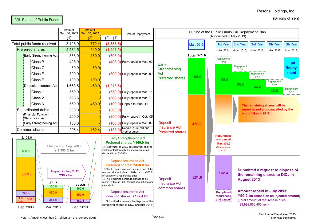# Resona Holdings, Inc.

(Billions of Yen)



|                                                                          | Amount<br>Sep. 30, 2003<br>(1)            | <b>Amount</b><br>Sep. 30, 2012<br>(2) | $(2) - (1)$                                     | Time of Repayment                                                                                                                                                                                                                                                 |                                                                   | Outline of the Public Funds Full Repayment Plan |  | (Announced in May 2013)                                                         |                         |                                                                                                 |             |                                        |
|--------------------------------------------------------------------------|-------------------------------------------|---------------------------------------|-------------------------------------------------|-------------------------------------------------------------------------------------------------------------------------------------------------------------------------------------------------------------------------------------------------------------------|-------------------------------------------------------------------|-------------------------------------------------|--|---------------------------------------------------------------------------------|-------------------------|-------------------------------------------------------------------------------------------------|-------------|----------------------------------------|
| Total public funds received                                              | 3,128.0                                   | 772.4                                 | (2, 355.5)                                      |                                                                                                                                                                                                                                                                   |                                                                   | Mar. 2013                                       |  | 1st Year                                                                        | 2nd Year                | 3rd Year                                                                                        | 4th Year    | 5th Year                               |
| <b>Preferred shares</b>                                                  | 2,531.5                                   | 610.0                                 | (1, 921.5)                                      |                                                                                                                                                                                                                                                                   |                                                                   |                                                 |  |                                                                                 | (Mar. 2014) (Mar. 2015) | (Mar. 2016)                                                                                     | (Mar. 2017) | (Mar. 2018)                            |
| Early Strengthening Act                                                  | 868.0                                     | 160.0                                 | (708.0)                                         |                                                                                                                                                                                                                                                                   |                                                                   | <b>Total 871.6</b>                              |  |                                                                                 |                         |                                                                                                 |             |                                        |
| Class B                                                                  | 408.0                                     |                                       |                                                 | (408.0) Fully repaid in Mar. '09                                                                                                                                                                                                                                  |                                                                   |                                                 |  | Repayment<br>32.0                                                               |                         |                                                                                                 |             | <b>Full</b>                            |
| Class C                                                                  | 60.0                                      | 60.0                                  |                                                 |                                                                                                                                                                                                                                                                   | Early<br>Strengthening                                            |                                                 |  |                                                                                 | Repayment<br>32.0       |                                                                                                 |             | <b>Repay-</b>                          |
| Class E                                                                  | 300.0                                     |                                       |                                                 | $(300.0)$ Fully repaid in Mar. '09                                                                                                                                                                                                                                | Act                                                               |                                                 |  |                                                                                 |                         | Repayment                                                                                       |             | ment                                   |
| Class F                                                                  | 100.0                                     | 100.0                                 |                                                 |                                                                                                                                                                                                                                                                   | <b>Preferred shares</b>                                           | 160.0                                           |  | 128.0                                                                           |                         | 32.0                                                                                            | Repayment   |                                        |
| Deposit Insurance Act                                                    | 1,663.5                                   | 450.0                                 | (1, 213.5)                                      |                                                                                                                                                                                                                                                                   |                                                                   |                                                 |  |                                                                                 | 96.0                    | 64.0                                                                                            | 32.0        |                                        |
| Class 1                                                                  | 550.0                                     |                                       |                                                 | (550.0) Fully repaid in Mar. '11                                                                                                                                                                                                                                  |                                                                   |                                                 |  |                                                                                 |                         |                                                                                                 | 32.0        | Repayment<br>32.0                      |
| Class 2                                                                  | 563.5                                     |                                       |                                                 | (563.5) Fully repaid in Mar. '11                                                                                                                                                                                                                                  |                                                                   |                                                 |  |                                                                                 |                         |                                                                                                 |             |                                        |
| Class 3                                                                  | 550.0                                     | 450.0                                 |                                                 | (100.0) Repaid in Mar. '11                                                                                                                                                                                                                                        |                                                                   |                                                 |  |                                                                                 |                         | The remaining shares will be                                                                    |             |                                        |
| Subordinated debts                                                       | 300.0                                     |                                       | (300.0)                                         |                                                                                                                                                                                                                                                                   |                                                                   |                                                 |  |                                                                                 |                         | repurchased and cancelled by the                                                                |             |                                        |
| <b>Financial Function</b><br>Stabilization Act                           | 200.0                                     |                                       |                                                 | $(200.0)$ Fully repaid in Oct. '05                                                                                                                                                                                                                                |                                                                   |                                                 |  |                                                                                 |                         | end of March 2018                                                                               |             |                                        |
| Early Strengthening Act                                                  | 100.0                                     |                                       |                                                 | $(100.0)$ Fully repaid in Mar. '09                                                                                                                                                                                                                                | <b>Deposit</b><br><b>Insurance Act</b><br><b>Preferred shares</b> | 450.0                                           |  |                                                                                 |                         |                                                                                                 |             |                                        |
| Common shares                                                            | 296.4                                     | 162.4                                 |                                                 | Repaid in Jul. '13 and<br>$(133.9)$ s other times                                                                                                                                                                                                                 |                                                                   |                                                 |  |                                                                                 |                         |                                                                                                 |             |                                        |
| 3,128.0<br>868.0                                                         | Change from Sep. 2003:<br>$Y(2,355.5)$ bn |                                       | dividend from FY2013                            | <b>Early Strengthening Act</b><br>Preferred shares: Y160.0 bn<br>$\Box$ Repayment of Y32.0 bn each year shall be<br>implemented through the special preferred                                                                                                     |                                                                   |                                                 |  | <b>Repurchase</b><br>and cancel<br><b>Max 300.0</b><br>(At repurchase<br>price) |                         |                                                                                                 |             |                                        |
| 1,663.5<br>871.6<br>160.0                                                | Repaid in July 2013:<br>Y99.2 bn          | 772.4<br>160.0                        | bn based on a repurchase price)<br>cancellation | <b>Deposit Insurance Act</b><br>Preferred shares: Y450.0 bn<br>$\Box$ Plan to repurchase and cancel a part of the<br>relevant shares by March 2014 (up to Y300.0)<br>$\Box$ The remaining portion is planned to be<br>repaid by March 2018 through repurchase and | <b>Deposit</b><br><b>Insurance Act</b><br>common shares           | 261.6                                           |  | 162.4                                                                           |                         | Submitted a request to dispose of<br>the remaining shares to DICJ in<br>August 2013             |             |                                        |
| 450.0<br>296.4<br><b>Sub</b><br>300.0<br>261.6<br>Sep. 2003<br>Mar. 2013 |                                           | 450.0<br>162.4<br>Sep. 2013           |                                                 | <b>Deposit Insurance Act</b><br>common shares: Y162.4 bn<br>$\Box$ Submitted a request to dispose of the<br>remaining shares to DICJ (August 2013)                                                                                                                |                                                                   |                                                 |  | <b>Completed</b><br>repurchase<br>and cancel                                    |                         | <b>Amount repaid in July 2013:</b><br>(Total amount at repurchase price:<br>99,999,950,400 yen) |             | Y99.2 bn (based on an injected amount) |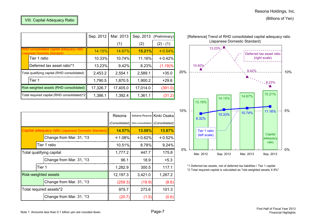| (Billions of Yen) |  |
|-------------------|--|
|-------------------|--|

|                                                                         | Sep. 2012 | Mar. 2013 |          | Sep. 2013 (Preliminary) |
|-------------------------------------------------------------------------|-----------|-----------|----------|-------------------------|
|                                                                         |           | (1)       | (2)      | $(2) - (1)$             |
| RHD consolidated capital adequacy ratio<br>(Japanese Domestic Standard) | 14.15%    | 14.67%    | 15.21%   | $+0.54%$                |
| Tier 1 ratio                                                            | 10.33%    | 10.74%    | 11.16%   | $+0.42%$                |
| Deferred tax asset ratio*1                                              | 13.23%    | 9.42%     | 8.23%    | (1.19)%                 |
| Total qualifying capital (RHD consolidated)                             | 2,453.2   | 2,554.1   | 2,589.1  | $+35.0$                 |
| Tier 1                                                                  | 1,790.5   | 1,870.5   | 1,900.2  | $+29.6$                 |
| Risk-weighted assets (RHD consolidated)                                 | 17,326.7  | 17,405.0  | 17,014.0 | (391.0)                 |
| Total required capital (RHD consolidated)*2                             | 1,386.1   | 1,392.4   | 1,361.1  | (31.2)                  |

|                                                     | Resona   |                                                  | Saitama Resona Kinki Osaka |
|-----------------------------------------------------|----------|--------------------------------------------------|----------------------------|
|                                                     |          | (Consolidated) (Non-consolidated) (Consolidated) |                            |
| Capital adequacy ratio (Japanese Domestic Standard) | 14.57%   | $13.08\%$                                        | 13.87%                     |
| Change from Mar. 31, '13                            | $+1.08%$ | $+0.62%$                                         | $+0.52%$                   |
| <b>i</b> Tier 1 ratio                               | 10.51%   | 8.78%                                            | 9.24%                      |
| Total qualifying capital                            | 1,777.2  | 447.7                                            | 175.8                      |
| Change from Mar. 31, '13                            | 96.1     | 18.9                                             | $+5.3$                     |
| Tier 1                                              | 1,282.9  | 300.5                                            | 117.1                      |
| Risk-weighted assets                                | 12,197.3 | 3,421.0                                          | 1,267.2                    |
| Change from Mar. 31, '13                            | (259.3)  | (19.9)                                           | (8.6)                      |
| Total required assets*2                             | 975.7    | 273.6                                            | 101.3                      |
| Change from Mar. 31, '13                            | (20.7)   | (1.5)                                            | (0.6)                      |



\*1 Deferred tax assets, net of deferred tax liabilities / Tier 1 capital \*2 Total required capital is calculated as "risk-weighted assets X 8%"